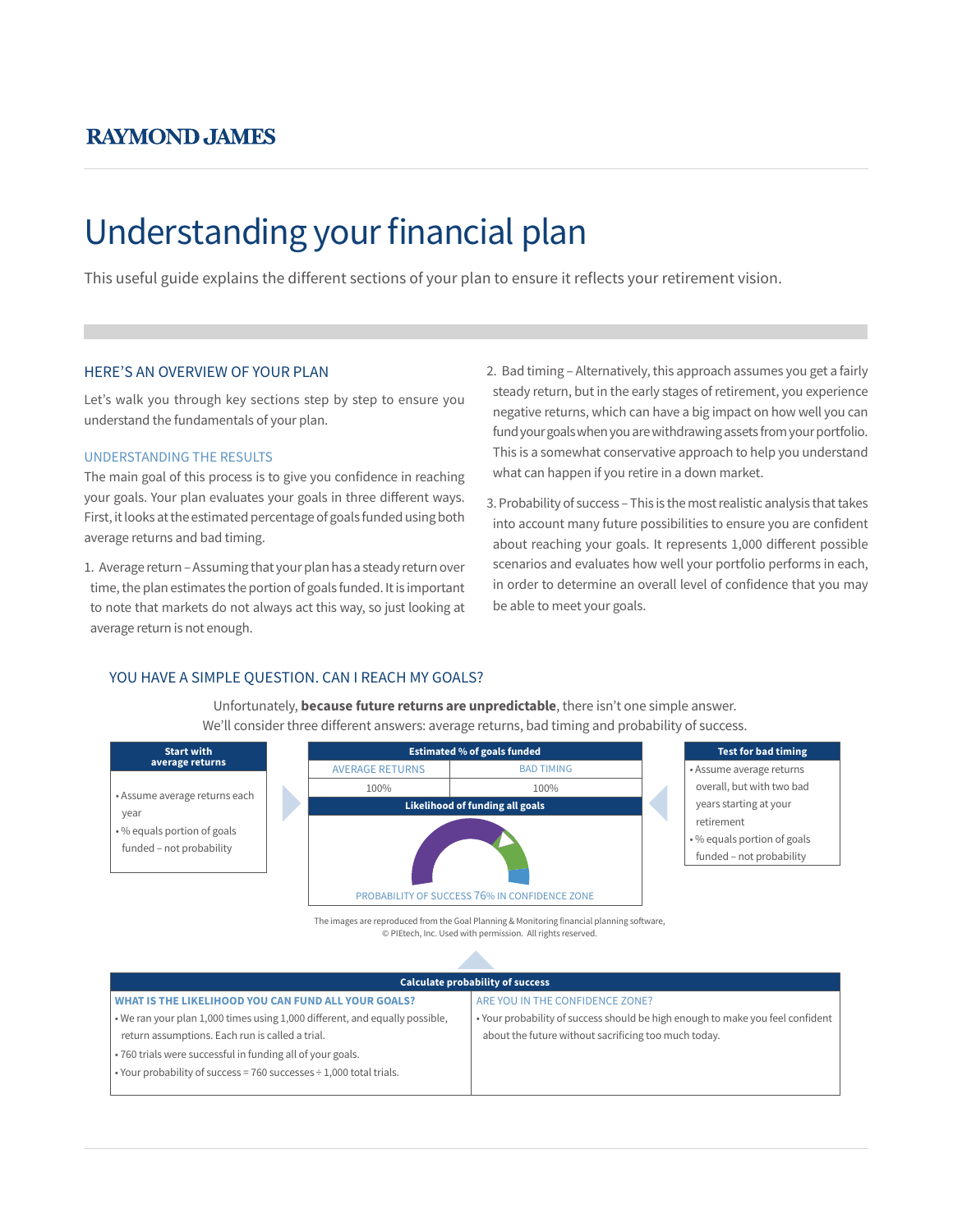## **RAYMOND JAMES**

# Understanding your financial plan

This useful guide explains the different sections of your plan to ensure it reflects your retirement vision.

#### HERE'S AN OVERVIEW OF YOUR PLAN

Let's walk you through key sections step by step to ensure you understand the fundamentals of your plan.

#### UNDERSTANDING THE RESULTS

The main goal of this process is to give you confidence in reaching your goals. Your plan evaluates your goals in three different ways. First, it looks at the estimated percentage of goals funded using both average returns and bad timing.

1. Average return – Assuming that your plan has a steady return over time, the plan estimates the portion of goals funded. It is important to note that markets do not always act this way, so just looking at average return is not enough.

- 2. Bad timing Alternatively, this approach assumes you get a fairly steady return, but in the early stages of retirement, you experience negative returns, which can have a big impact on how well you can fund your goals when you are withdrawing assets from your portfolio. This is a somewhat conservative approach to help you understand what can happen if you retire in a down market.
- 3. Probability of success This is the most realistic analysis that takes into account many future possibilities to ensure you are confident about reaching your goals. It represents 1,000 different possible scenarios and evaluates how well your portfolio performs in each, in order to determine an overall level of confidence that you may be able to meet your goals.

## YOU HAVE A SIMPLE QUESTION. CAN I REACH MY GOALS?

**Start with average returns** • Assume average returns each year • % equals portion of goals funded – not probability We'll consider three different answers: average returns, bad timing and probability of success. **Estimated % of goals funded** AVERAGE RETURNS BAD TIMING 100% 100% **Likelihood of funding all goals** PROBABILITY OF SUCCESS 76% IN CONFIDENCE ZONE



- overall, but with two bad years starting at your retirement • % equals portion of goals
- funded not probability

The images are reproduced from the Goal Planning & Monitoring financial planning software, © PIEtech, Inc. Used with permission. All rights reserved.

Unfortunately, **because future returns are unpredictable**, there isn't one simple answer.

| <b>Calculate probability of success</b>                                     |                                                                                |
|-----------------------------------------------------------------------------|--------------------------------------------------------------------------------|
| WHAT IS THE LIKELIHOOD YOU CAN FUND ALL YOUR GOALS?                         | ARE YOU IN THE CONFIDENCE ZONE?                                                |
| . We ran your plan 1,000 times using 1,000 different, and equally possible, | . Your probability of success should be high enough to make you feel confident |
| return assumptions. Each run is called a trial.                             | about the future without sacrificing too much today.                           |
| .760 trials were successful in funding all of your goals.                   |                                                                                |
| . Your probability of success = $760$ successes $\div$ 1,000 total trials.  |                                                                                |
|                                                                             |                                                                                |